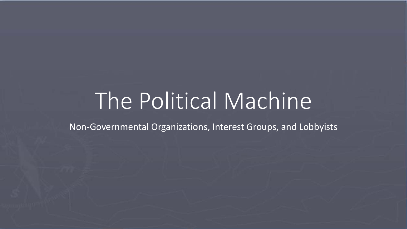# The Political Machine

Non-Governmental Organizations, Interest Groups, and Lobbyists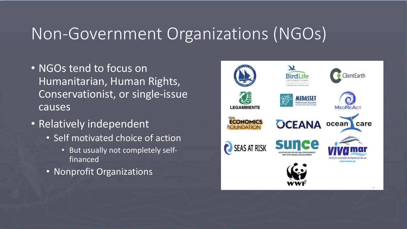### Non-Government Organizations (NGOs)

- NGOs tend to focus on Humanitarian, Human Rights, Conservationist, or single-issue causes
- Relatively independent
	- Self motivated choice of action
		- But usually not completely selffinanced
	- Nonprofit Organizations

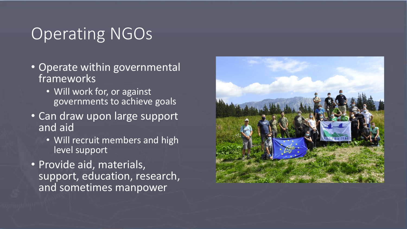## Operating NGOs

- Operate within governmental frameworks
	- Will work for, or against governments to achieve goals
- Can draw upon large support and aid
	- Will recruit members and high level support
- Provide aid, materials, support, education, research, and sometimes manpower

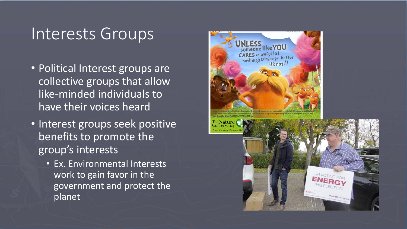#### Interests Groups

- Political Interest groups are collective groups that allow like-minded individuals to have their voices heard
- Interest groups seek positive benefits to promote the group's interests
	- Ex. Environmental Interests work to gain favor in the government and protect the planet

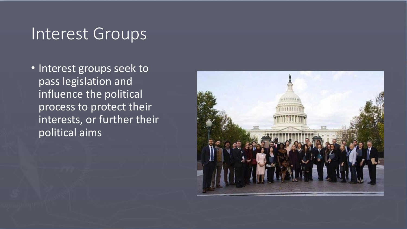#### Interest Groups

• Interest groups seek to pass legislation and influence the political process to protect their interests, or further their political aims